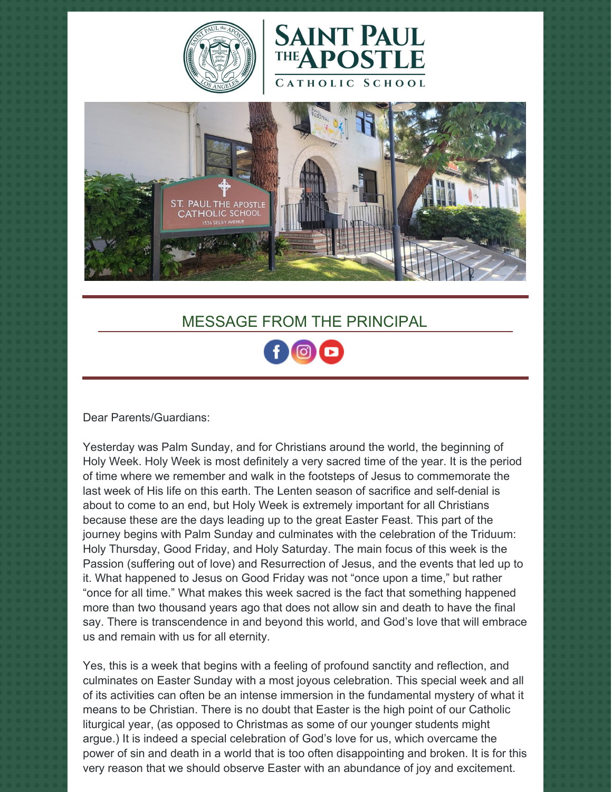





## MESSAGE FROM THE PRINCIPAL

Dear Parents/Guardians:

Yesterday was Palm Sunday, and for Christians around the world, the beginning of Holy Week. Holy Week is most definitely a very sacred time of the year. It is the period of time where we remember and walk in the footsteps of Jesus to commemorate the last week of His life on this earth. The Lenten season of sacrifice and self-denial is about to come to an end, but Holy Week is extremely important for all Christians because these are the days leading up to the great Easter Feast. This part of the journey begins with Palm Sunday and culminates with the celebration of the Triduum: Holy Thursday, Good Friday, and Holy Saturday. The main focus of this week is the Passion (suffering out of love) and Resurrection of Jesus, and the events that led up to it. What happened to Jesus on Good Friday was not "once upon a time," but rather "once for all time." What makes this week sacred is the fact that something happened more than two thousand years ago that does not allow sin and death to have the final say. There is transcendence in and beyond this world, and God's love that will embrace us and remain with us for all eternity.

Yes, this is a week that begins with a feeling of profound sanctity and reflection, and culminates on Easter Sunday with a most joyous celebration. This special week and all of its activities can often be an intense immersion in the fundamental mystery of what it means to be Christian. There is no doubt that Easter is the high point of our Catholic liturgical year, (as opposed to Christmas as some of our younger students might argue.) It is indeed a special celebration of God's love for us, which overcame the power of sin and death in a world that is too often disappointing and broken. It is for this very reason that we should observe Easter with an abundance of joy and excitement.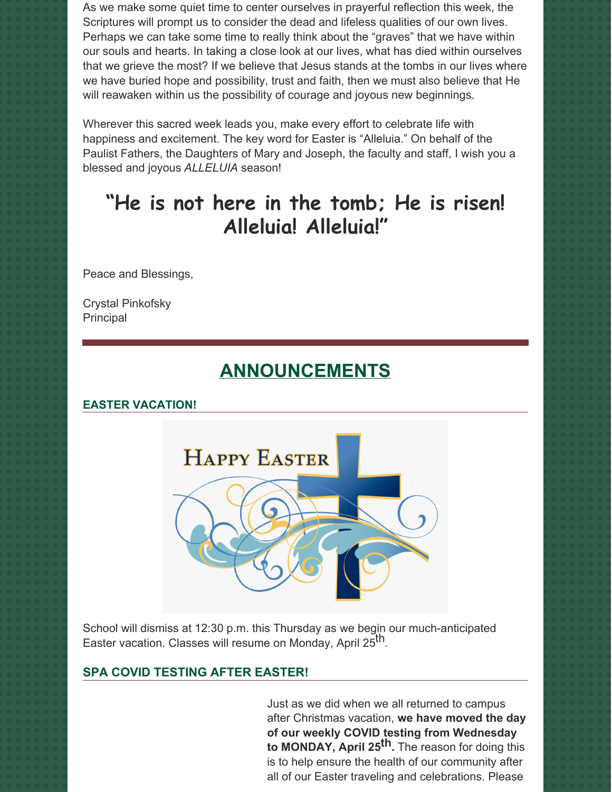As we make some quiet time to center ourselves in prayerful reflection this week, the Scriptures will prompt us to consider the dead and lifeless qualities of our own lives. Perhaps we can take some time to really think about the "graves" that we have within our souls and hearts. In taking a close look at our lives, what has died within ourselves that we grieve the most? If we believe that Jesus stands at the tombs in our lives where we have buried hope and possibility, trust and faith, then we must also believe that He will reawaken within us the possibility of courage and joyous new beginnings.

Wherever this sacred week leads you, make every effort to celebrate life with happiness and excitement. The key word for Easter is "Alleluia." On behalf of the Paulist Fathers, the Daughters of Mary and Joseph, the faculty and staff, I wish you a blessed and joyous *ALLELUIA* season!

# **"He is not here in the tomb; He is risen! Alleluia! Alleluia!"**

Peace and Blessings,

Crystal Pinkofsky Principal

## **ANNOUNCEMENTS**

## **EASTER VACATION!**



School will dismiss at 12:30 p.m. this Thursday as we begin our much-anticipated Easter vacation. Classes will resume on Monday, April 25<sup>th</sup>.

## **SPA COVID TESTING AFTER EASTER!**

Just as we did when we all returned to campus after Christmas vacation, **we have moved the day of our weekly COVID testing from Wednesday to MONDAY, April 25 th.** The reason for doing this is to help ensure the health of our community after all of our Easter traveling and celebrations. Please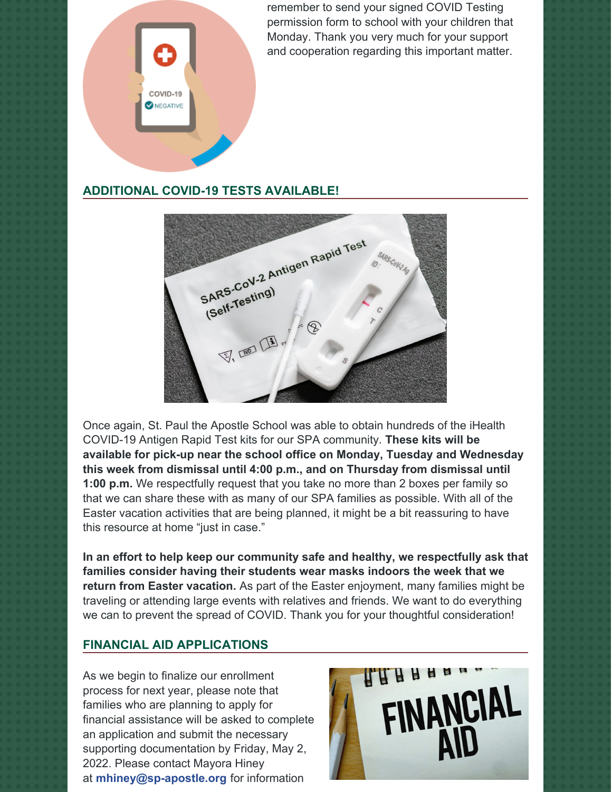

remember to send your signed COVID Testing permission form to school with your children that Monday. Thank you very much for your support and cooperation regarding this important matter.

#### **ADDITIONAL COVID-19 TESTS AVAILABLE!**



Once again, St. Paul the Apostle School was able to obtain hundreds of the iHealth COVID-19 Antigen Rapid Test kits for our SPA community. **These kits will be available for pick-up near the school office on Monday, Tuesday and Wednesday this week from dismissal until 4:00 p.m., and on Thursday from dismissal until 1:00 p.m.** We respectfully request that you take no more than 2 boxes per family so that we can share these with as many of our SPA families as possible. With all of the Easter vacation activities that are being planned, it might be a bit reassuring to have this resource at home "just in case."

**In an effort to help keep our community safe and healthy, we respectfully ask that families consider having their students wear masks indoors the week that we return from Easter vacation.** As part of the Easter enjoyment, many families might be traveling or attending large events with relatives and friends. We want to do everything we can to prevent the spread of COVID. Thank you for your thoughtful consideration!

#### **FINANCIAL AID APPLICATIONS**

As we begin to finalize our enrollment process for next year, please note that families who are planning to apply for financial assistance will be asked to complete an application and submit the necessary supporting documentation by Friday, May 2, 2022. Please contact Mayora Hiney at **[mhiney@sp-apostle.org](mailto:mhiney@sp-apostle.org)** for information

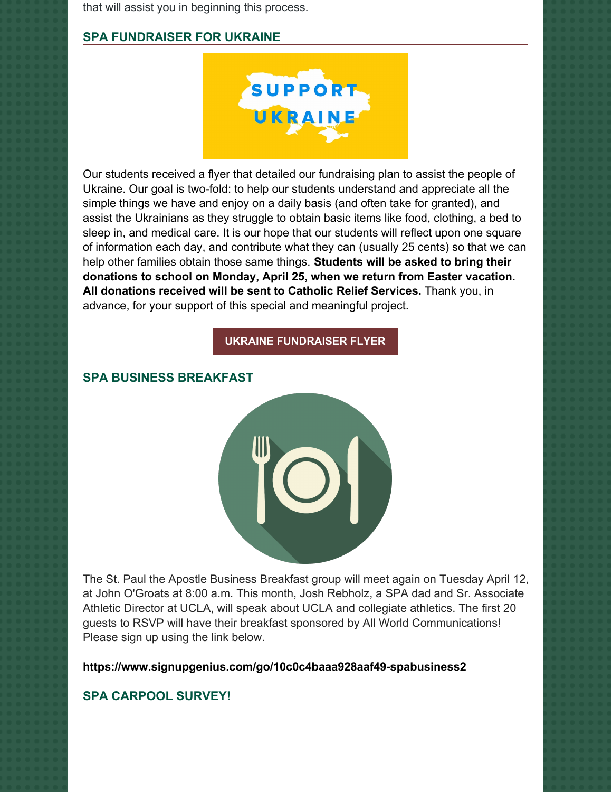that will assist you in beginning this process.

## **SPA FUNDRAISER FOR UKRAINE**



Our students received a flyer that detailed our fundraising plan to assist the people of Ukraine. Our goal is two-fold: to help our students understand and appreciate all the simple things we have and enjoy on a daily basis (and often take for granted), and assist the Ukrainians as they struggle to obtain basic items like food, clothing, a bed to sleep in, and medical care. It is our hope that our students will reflect upon one square of information each day, and contribute what they can (usually 25 cents) so that we can help other families obtain those same things. **Students will be asked to bring their donations to school on Monday, April 25, when we return from Easter vacation. All donations received will be sent to Catholic Relief Services.** Thank you, in advance, for your support of this special and meaningful project.

### **UKRAINE [FUNDRAISER](https://school.sp-apostle.org/wp-content/uploads/2022/03/I-Am-Blessed-Ukraine-Fundraiser.pdf) FLYER**

#### **SPA BUSINESS BREAKFAST**



The St. Paul the Apostle Business Breakfast group will meet again on Tuesday April 12, at John O'Groats at 8:00 a.m. This month, Josh Rebholz, a SPA dad and Sr. Associate Athletic Director at UCLA, will speak about UCLA and collegiate athletics. The first 20 guests to RSVP will have their breakfast sponsored by All World Communications! Please sign up using the link below.

#### **<https://www.signupgenius.com/go/10c0c4baaa928aaf49-spabusiness2>**

### **SPA CARPOOL SURVEY!**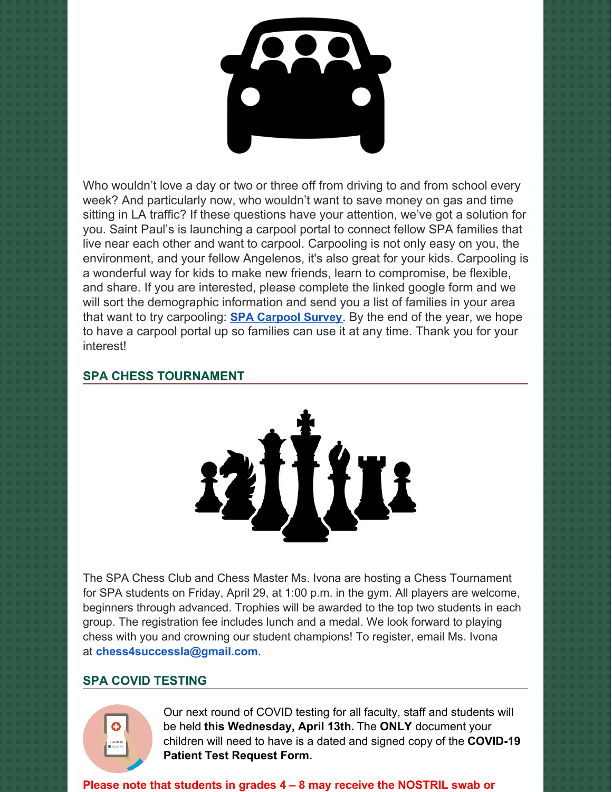

Who wouldn't love a day or two or three off from driving to and from school every week? And particularly now, who wouldn't want to save money on gas and time sitting in LA traffic? If these questions have your attention, we've got a solution for you. Saint Paul's is launching a carpool portal to connect fellow SPA families that live near each other and want to carpool. Carpooling is not only easy on you, the environment, and your fellow Angelenos, it's also great for your kids. Carpooling is a wonderful way for kids to make new friends, learn to compromise, be flexible, and share. If you are interested, please complete the linked google form and we will sort the demographic information and send you a list of families in your area that want to try carpooling: **SPA [Carpool](https://docs.google.com/forms/d/e/1FAIpQLScLjqBrzKfE7m43iTeH7YdU1iFhmNZ5jjmI9xPf6nOF9dnMSQ/viewform) Survey**. By the end of the year, we hope to have a carpool portal up so families can use it at any time. Thank you for your interest!

### **SPA CHESS TOURNAMENT**



The SPA Chess Club and Chess Master Ms. Ivona are hosting a Chess Tournament for SPA students on Friday, April 29, at 1:00 p.m. in the gym. All players are welcome, beginners through advanced. Trophies will be awarded to the top two students in each group. The registration fee includes lunch and a medal. We look forward to playing chess with you and crowning our student champions! To register, email Ms. Ivona at **[chess4successla@gmail.com](mailto:chess4successla@gmail.com)**.

## **SPA COVID TESTING**



Our next round of COVID testing for all faculty, staff and students will be held **this Wednesday, April 13th.** The **ONLY** document your children will need to have is a dated and signed copy of the **COVID-19 Patient Test Request Form.**

**Please note that students in grades 4 – 8 may receive the NOSTRIL swab or**